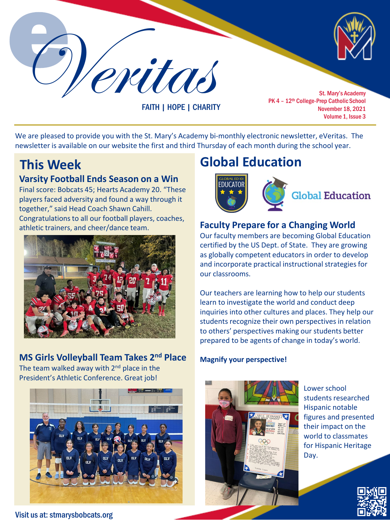

FAITH | HOPE | CHARITY

PK 4 - 12<sup>th</sup> College-Prep Catholic School November 18, 2021 Volume 1, Issue 3

We are pleased to provide you with the St. Mary's Academy bi-monthly electronic newsletter, eVeritas. The newsletter is available on our website the first and third Thursday of each month during the school year.

## **Varsity Football Ends Season on a Win**

Final score: Bobcats 45; Hearts Academy 20. "These players faced adversity and found a way through it together," said Head Coach Shawn Cahill. Congratulations to all our football players, coaches, athletic trainers, and cheer/dance team.



## **MS Girls Volleyball Team Takes 2nd Place**

The team walked away with  $2<sup>nd</sup>$  place in the President's Athletic Conference. Great job!



### Visit us at: stmarysbobcats.org

# **This Week Global Education**



## **Faculty Prepare for a Changing World**

Our faculty members are becoming Global Education certified by the US Dept. of State. They are growing as globally competent educators in order to develop and incorporate practical instructional strategies for our classrooms.

Our teachers are learning how to help our students learn to investigate the world and conduct deep inquiries into other cultures and places. They help our students recognize their own perspectives in relation to others' perspectives making our students better prepared to be agents of change in today's world.

### **Magnify your perspective!**



Lower school students researched Hispanic notable figures and presented their impact on the world to classmates for Hispanic Heritage Day.